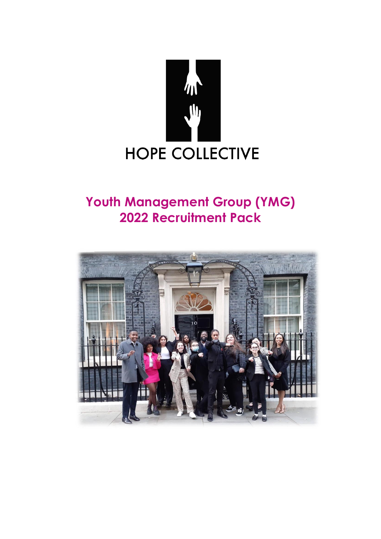

## **Youth Management Group (YMG) 2022 Recruitment Pack**

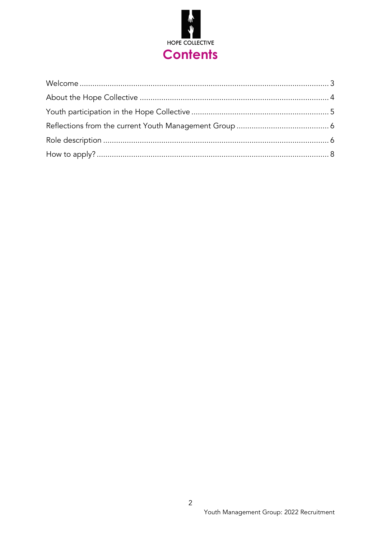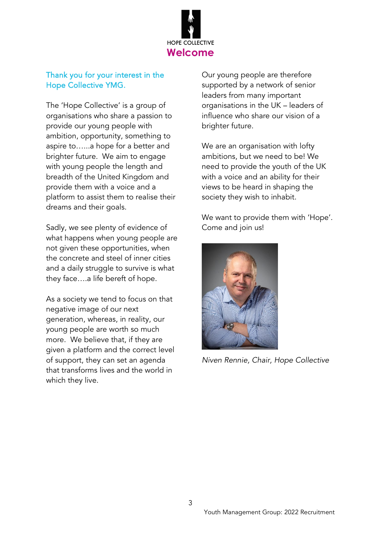

#### <span id="page-2-0"></span>Thank you for your interest in the Hope Collective YMG.

The 'Hope Collective' is a group of organisations who share a passion to provide our young people with ambition, opportunity, something to aspire to…...a hope for a better and brighter future. We aim to engage with young people the length and breadth of the United Kingdom and provide them with a voice and a platform to assist them to realise their dreams and their goals.

Sadly, we see plenty of evidence of what happens when young people are not given these opportunities, when the concrete and steel of inner cities and a daily struggle to survive is what they face….a life bereft of hope.

As a society we tend to focus on that negative image of our next generation, whereas, in reality, our young people are worth so much more. We believe that, if they are given a platform and the correct level of support, they can set an agenda that transforms lives and the world in which they live.

Our young people are therefore supported by a network of senior leaders from many important organisations in the UK – leaders of influence who share our vision of a brighter future.

We are an organisation with lofty ambitions, but we need to be! We need to provide the youth of the UK with a voice and an ability for their views to be heard in shaping the society they wish to inhabit.

We want to provide them with 'Hope'. Come and join us!



*Niven Rennie, Chair, Hope Collective*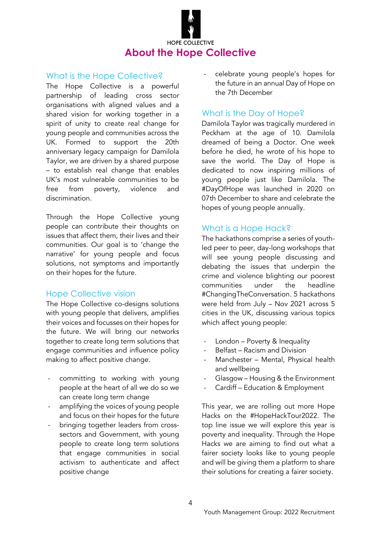# **HOPE COLLECTIVE About the Hope Collective**

#### <span id="page-3-0"></span>What is the Hope Collective?

The Hope Collective is a powerful partnership of leading cross sector organisations with aligned values and a shared vision for working together in a spirit of unity to create real change for young people and communities across the UK. Formed to support the 20th anniversary legacy campaign for Damilola Taylor, we are driven by a shared purpose – to establish real change that enables UK's most vulnerable communities to be free from poverty, violence and discrimination.

Through the Hope Collective young people can contribute their thoughts on issues that affect them, their lives and their communities. Our goal is to 'change the narrative' for young people and focus solutions, not symptoms and importantly on their hopes for the future.

#### Hope Collective vision

The Hope Collective co-designs solutions with young people that delivers, amplifies their voices and focusses on their hopes for the future. We will bring our networks together to create long term solutions that engage communities and influence policy making to affect positive change.

- committing to working with young people at the heart of all we do so we can create long term change
- amplifying the voices of young people and focus on their hopes for the future
- bringing together leaders from crosssectors and Government, with young people to create long term solutions that engage communities in social activism to authenticate and affect positive change

- celebrate young people's hopes for the future in an annual Day of Hope on the 7th December

#### What is the Day of Hope?

Damilola Taylor was tragically murdered in Peckham at the age of 10. Damilola dreamed of being a Doctor. One week before he died, he wrote of his hope to save the world. The Day of Hope is dedicated to now inspiring millions of young people just like Damilola. The #DayOfHope was launched in 2020 on 07th December to share and celebrate the hopes of young people annually.

#### What is a Hope Hack?

The hackathons comprise a series of youthled peer to peer, day-long workshops that will see young people discussing and debating the issues that underpin the crime and violence blighting our poorest communities under the headline #ChangingTheConversation. 5 hackathons were held from July – Nov 2021 across 5 cities in the UK, discussing various topics which affect young people:

- London Poverty & Inequality
- Belfast Racism and Division
- Manchester Mental, Physical health and wellbeing
- Glasgow Housing & the Environment
- Cardiff Education & Employment

This year, we are rolling out more Hope Hacks on the #HopeHackTour2022. The top line issue we will explore this year is poverty and inequality. Through the Hope Hacks we are aiming to find out what a fairer society looks like to young people and will be giving them a platform to share their solutions for creating a fairer society.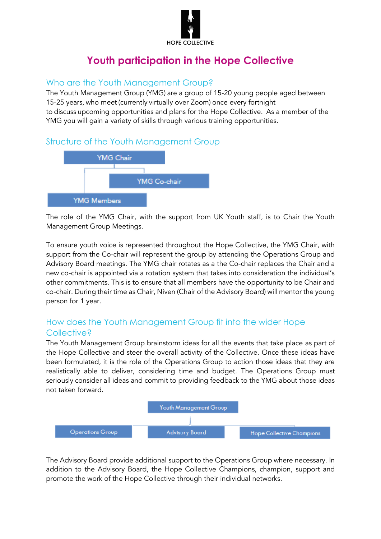

### **Youth participation in the Hope Collective**

#### <span id="page-4-0"></span>Who are the Youth Management Group?

The Youth Management Group (YMG) are a group of 15-20 young people aged between 15-25 years, who meet (currently virtually over Zoom) once every fortnight to discuss upcoming opportunities and plans for the Hope Collective. As a member of the YMG you will gain a variety of skills through various training opportunities.

#### Structure of the Youth Management Group



The role of the YMG Chair, with the support from UK Youth staff, is to Chair the Youth Management Group Meetings.

To ensure youth voice is represented throughout the Hope Collective, the YMG Chair, with support from the Co-chair will represent the group by attending the Operations Group and Advisory Board meetings. The YMG chair rotates as a the Co-chair replaces the Chair and a new co-chair is appointed via a rotation system that takes into consideration the individual's other commitments. This is to ensure that all members have the opportunity to be Chair and co-chair. During their time as Chair, Niven (Chair of the Advisory Board) will mentor the young person for 1 year.

#### How does the Youth Management Group fit into the wider Hope Collective?

The Youth Management Group brainstorm ideas for all the events that take place as part of the Hope Collective and steer the overall activity of the Collective. Once these ideas have been formulated, it is the role of the Operations Group to action those ideas that they are realistically able to deliver, considering time and budget. The Operations Group must seriously consider all ideas and commit to providing feedback to the YMG about those ideas not taken forward.



The Advisory Board provide additional support to the Operations Group where necessary. In addition to the Advisory Board, the Hope Collective Champions, champion, support and promote the work of the Hope Collective through their individual networks.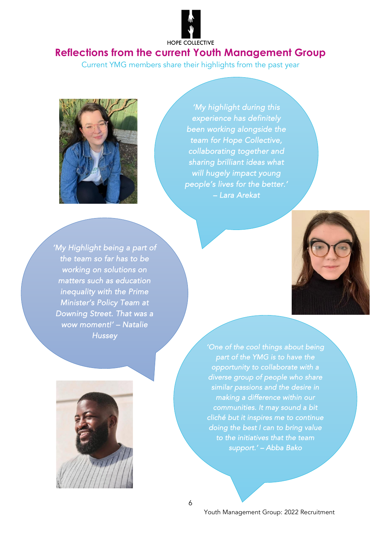#### HOPE COLLECTIVE

#### <span id="page-5-0"></span>**Reflections from the current Youth Management Group**

Current YMG members share their highlights from the past year



*'My highlight during this experience has definitely been working alongside the team for Hope Collective, collaborating together and sharing brilliant ideas what will hugely impact young people's lives for the better.' – Lara Arekat* 

<span id="page-5-1"></span>*'My Highlight being a part of the team so far has to be working on solutions on matters such as education inequality with the Prime Minister's Policy Team at Downing Street. That was a wow moment!' – Natalie Hussey* 



*'One of the cool things about being part of the YMG is to have the opportunity to collaborate with a diverse group of people who share similar passions and the desire in making a difference within our communities. It may sound a bit cliché but it inspires me to continue doing the best I can to bring value to the initiatives that the team support.' – Abba Bako*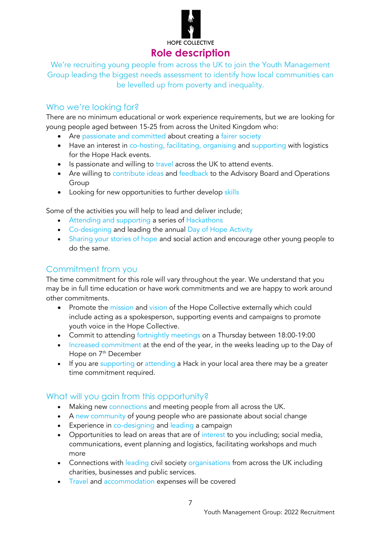

**HOPE COLLECTIVE** 

#### **Role description**

We're recruiting young people from across the UK to join the Youth Management Group leading the biggest needs assessment to identify how local communities can be levelled up from poverty and inequality.

#### Who we're looking for?

There are no minimum educational or work experience requirements, but we are looking for young people aged between 15-25 from across the United Kingdom who:

- Are passionate and committed about creating a fairer society
- Have an interest in co-hosting, facilitating, organising and supporting with logistics for the Hope Hack events.
- Is passionate and willing to travel across the UK to attend events.
- Are willing to contribute ideas and feedback to the Advisory Board and Operations Group
- Looking for new opportunities to further develop skills

Some of the activities you will help to lead and deliver include;

- Attending and supporting a series of Hackathons
- Co-designing and leading the annual Day of Hope Activity
- Sharing your stories of hope and social action and encourage other young people to do the same.

#### Commitment from you

The time commitment for this role will vary throughout the year. We understand that you may be in full time education or have work commitments and we are happy to work around other commitments.

- Promote the mission and vision of the Hope Collective externally which could include acting as a spokesperson, supporting events and campaigns to promote youth voice in the Hope Collective.
- Commit to attending fortnightly meetings on a Thursday between 18:00-19:00
- Increased commitment at the end of the year, in the weeks leading up to the Day of Hope on 7<sup>th</sup> December
- If you are supporting or attending a Hack in your local area there may be a greater time commitment required.

#### What will you gain from this opportunity?

- Making new connections and meeting people from all across the UK.
- A new community of young people who are passionate about social change
- Experience in co-designing and leading a campaign
- Opportunities to lead on areas that are of interest to you including; social media, communications, event planning and logistics, facilitating workshops and much more
- Connections with leading civil society organisations from across the UK including charities, businesses and public services.
- Travel and accommodation expenses will be covered